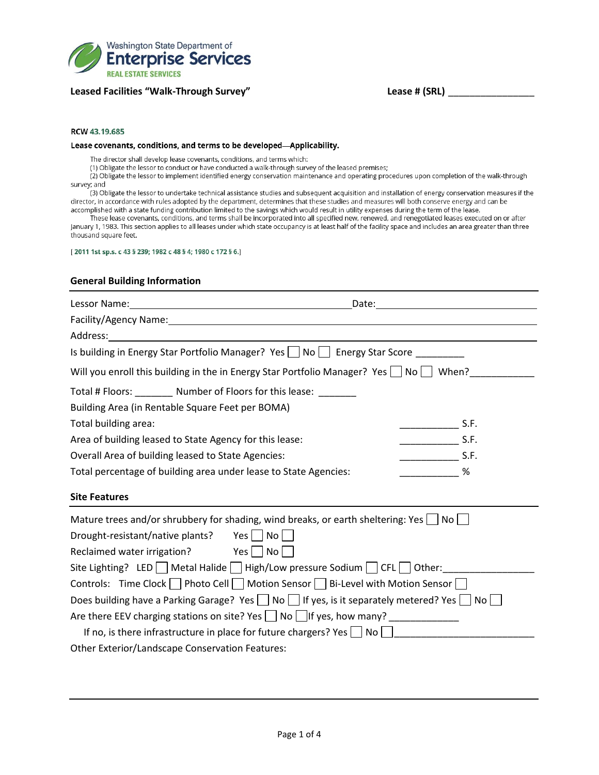

## **Leased Facilities "Walk-Through Survey" Lease # (SRL)** \_\_\_\_\_\_\_\_\_\_\_\_\_\_\_\_

#### RCW 43.19.685

#### Lease covenants, conditions, and terms to be developed-Applicability.

The director shall develop lease covenants, conditions, and terms which:

(1) Obligate the lessor to conduct or have conducted a walk-through survey of the leased premises;

(2) Obligate the lessor to implement identified energy conservation maintenance and operating procedures upon completion of the walk-through survey; and

(3) Obligate the lessor to undertake technical assistance studies and subsequent acquisition and installation of energy conservation measures if the director, in accordance with rules adopted by the department, determines that these studies and measures will both conserve energy and can be accomplished with a state funding contribution limited to the savings which would result in utility expenses during the term of the lease.

These lease covenants, conditions, and terms shall be incorporated into all specified new, renewed, and renegotiated leases executed on or after January 1, 1983. This section applies to all leases under which state occupancy is at least half of the facility space and includes an area greater than three thousand square feet.

[2011 1st sp.s. c 43 § 239; 1982 c 48 § 4; 1980 c 172 § 6.]

### **General Building Information**

| Lessor Name: 1988 and 2008 and 2010 and 2010 and 2010 and 2010 and 2010 and 2010 and 2010 and 2010 and 2010 and 2010 and 2010 and 2010 and 2010 and 2010 and 2010 and 2010 and 2010 and 2010 and 2010 and 2010 and 2010 and 20 | Date: <u>Date: Explorer</u> Partnership and the second second second second second second second second second second second second second second second second second second second second second second second second second seco                                                                                                                                                                                             |  |  |  |  |
|--------------------------------------------------------------------------------------------------------------------------------------------------------------------------------------------------------------------------------|---------------------------------------------------------------------------------------------------------------------------------------------------------------------------------------------------------------------------------------------------------------------------------------------------------------------------------------------------------------------------------------------------------------------------------|--|--|--|--|
|                                                                                                                                                                                                                                |                                                                                                                                                                                                                                                                                                                                                                                                                                 |  |  |  |  |
| Address:                                                                                                                                                                                                                       |                                                                                                                                                                                                                                                                                                                                                                                                                                 |  |  |  |  |
| Is building in Energy Star Portfolio Manager? Yes $\Box$ No $\Box$ Energy Star Score ________                                                                                                                                  |                                                                                                                                                                                                                                                                                                                                                                                                                                 |  |  |  |  |
| Will you enroll this building in the in Energy Star Portfolio Manager? Yes $\Box$ No $\Box$ When?                                                                                                                              |                                                                                                                                                                                                                                                                                                                                                                                                                                 |  |  |  |  |
| Total # Floors: ________ Number of Floors for this lease: _______                                                                                                                                                              |                                                                                                                                                                                                                                                                                                                                                                                                                                 |  |  |  |  |
| Building Area (in Rentable Square Feet per BOMA)                                                                                                                                                                               |                                                                                                                                                                                                                                                                                                                                                                                                                                 |  |  |  |  |
| Total building area:                                                                                                                                                                                                           | $\frac{1}{\sqrt{2}}$ S.F.                                                                                                                                                                                                                                                                                                                                                                                                       |  |  |  |  |
| Area of building leased to State Agency for this lease:                                                                                                                                                                        | $\frac{1}{\sqrt{1-\frac{1}{2}}}\frac{1}{\sqrt{1-\frac{1}{2}}}\frac{1}{\sqrt{1-\frac{1}{2}}}\frac{1}{\sqrt{1-\frac{1}{2}}}\frac{1}{\sqrt{1-\frac{1}{2}}}\frac{1}{\sqrt{1-\frac{1}{2}}}\frac{1}{\sqrt{1-\frac{1}{2}}}\frac{1}{\sqrt{1-\frac{1}{2}}}\frac{1}{\sqrt{1-\frac{1}{2}}}\frac{1}{\sqrt{1-\frac{1}{2}}}\frac{1}{\sqrt{1-\frac{1}{2}}}\frac{1}{\sqrt{1-\frac{1}{2}}}\frac{1}{\sqrt{1-\frac{1}{2}}}\frac{1}{\sqrt{1-\frac{$ |  |  |  |  |
| Overall Area of building leased to State Agencies:                                                                                                                                                                             | $\frac{1}{\sqrt{1-\frac{1}{2}}}\frac{1}{\sqrt{1-\frac{1}{2}}}\frac{1}{\sqrt{1-\frac{1}{2}}}\frac{1}{\sqrt{1-\frac{1}{2}}}\frac{1}{\sqrt{1-\frac{1}{2}}}\frac{1}{\sqrt{1-\frac{1}{2}}}\frac{1}{\sqrt{1-\frac{1}{2}}}\frac{1}{\sqrt{1-\frac{1}{2}}}\frac{1}{\sqrt{1-\frac{1}{2}}}\frac{1}{\sqrt{1-\frac{1}{2}}}\frac{1}{\sqrt{1-\frac{1}{2}}}\frac{1}{\sqrt{1-\frac{1}{2}}}\frac{1}{\sqrt{1-\frac{1}{2}}}\frac{1}{\sqrt{1-\frac{$ |  |  |  |  |
| Total percentage of building area under lease to State Agencies:                                                                                                                                                               | %                                                                                                                                                                                                                                                                                                                                                                                                                               |  |  |  |  |
| <b>Site Features</b>                                                                                                                                                                                                           |                                                                                                                                                                                                                                                                                                                                                                                                                                 |  |  |  |  |
| Mature trees and/or shrubbery for shading, wind breaks, or earth sheltering: Yes $\vert$ $\vert$ No $\vert$ $\vert$                                                                                                            |                                                                                                                                                                                                                                                                                                                                                                                                                                 |  |  |  |  |
| Drought-resistant/native plants? Yes No                                                                                                                                                                                        |                                                                                                                                                                                                                                                                                                                                                                                                                                 |  |  |  |  |
| Reclaimed water irrigation? Yes No                                                                                                                                                                                             |                                                                                                                                                                                                                                                                                                                                                                                                                                 |  |  |  |  |
| Site Lighting? LED Metal Halide High/Low pressure Sodium CFL Other:                                                                                                                                                            |                                                                                                                                                                                                                                                                                                                                                                                                                                 |  |  |  |  |
| Controls: Time Clock   Photo Cell   Motion Sensor   Bi-Level with Motion Sensor                                                                                                                                                |                                                                                                                                                                                                                                                                                                                                                                                                                                 |  |  |  |  |
| Does building have a Parking Garage? Yes $\Box$ No $\Box$ If yes, is it separately metered? Yes $\Box$ No $\Box$                                                                                                               |                                                                                                                                                                                                                                                                                                                                                                                                                                 |  |  |  |  |
| Are there EEV charging stations on site? Yes $\bigsqcup$ No $\bigsqcup$ if yes, how many? ____________________                                                                                                                 |                                                                                                                                                                                                                                                                                                                                                                                                                                 |  |  |  |  |
| If no, is there infrastructure in place for future chargers? Yes $\Box$ No                                                                                                                                                     |                                                                                                                                                                                                                                                                                                                                                                                                                                 |  |  |  |  |
| Other Exterior/Landscape Conservation Features:                                                                                                                                                                                |                                                                                                                                                                                                                                                                                                                                                                                                                                 |  |  |  |  |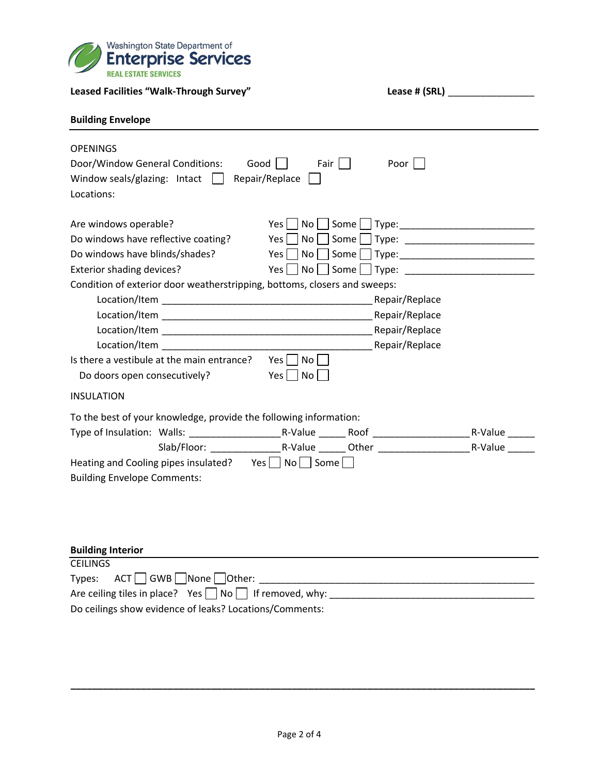

| Leased Facilities "Walk-Through Survey"                                                                                                                                                                                       |                                                                   |
|-------------------------------------------------------------------------------------------------------------------------------------------------------------------------------------------------------------------------------|-------------------------------------------------------------------|
| <b>Building Envelope</b>                                                                                                                                                                                                      |                                                                   |
| <b>OPENINGS</b><br>Door/Window General Conditions:<br>Good<br>Repair/Replace  <br>Window seals/glazing: Intact $\ $<br>Locations:                                                                                             | Fair $\Box$<br>Poor $\Box$                                        |
| Are windows operable?<br>Do windows have reflective coating?<br>Do windows have blinds/shades?<br>Exterior shading devices?<br>Condition of exterior door weatherstripping, bottoms, closers and sweeps:                      | Yes l<br>$Yes$                                                    |
| Location/Item Repair/Replace<br>Location/Item and the control of the control of the control of the control of the control of the control of the<br>Is there a vestibule at the main entrance?<br>Do doors open consecutively? | Repair/Replace<br>$Yes \mid \mid$<br>No    <br>$Yes \mid No \mid$ |
| <b>INSULATION</b>                                                                                                                                                                                                             |                                                                   |
| To the best of your knowledge, provide the following information:<br>Heating and Cooling pipes insulated? $Yes \cup No \cap Some \cap$<br><b>Building Envelope Comments:</b>                                                  | R-Value                                                           |
| <b>Building Interior</b><br><b>CEILINGS</b>                                                                                                                                                                                   |                                                                   |

| Types: $ACT$ GWB None Other:                                      |
|-------------------------------------------------------------------|
| Are ceiling tiles in place? Yes $\Box$ No $\Box$ If removed, why: |
| Do ceilings show evidence of leaks? Locations/Comments:           |

**\_\_\_\_\_\_\_\_\_\_\_\_\_\_\_\_\_\_\_\_\_\_\_\_\_\_\_\_\_\_\_\_\_\_\_\_\_\_\_\_\_\_\_\_\_\_\_\_\_\_\_\_\_\_\_\_\_\_\_\_\_\_\_\_\_\_\_\_\_\_\_\_\_\_\_\_\_\_\_\_\_\_\_\_\_\_**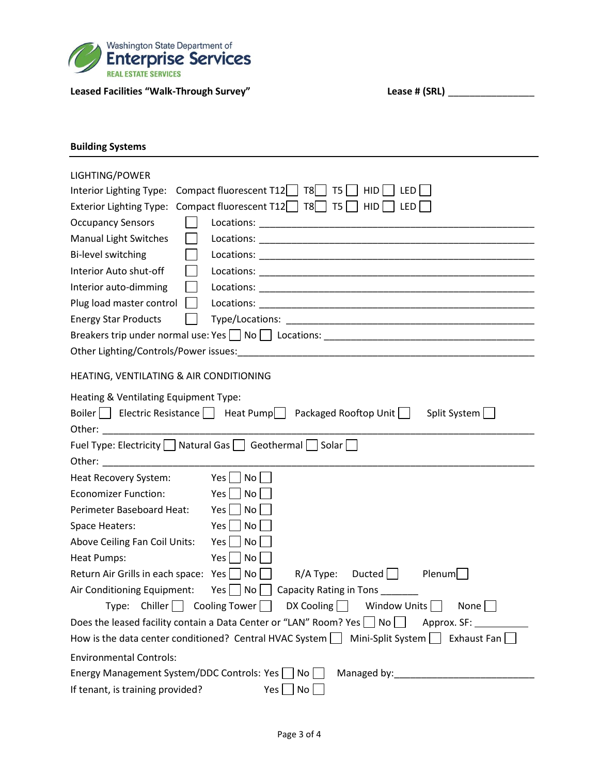

# Leased Facilities "Walk-Through Survey" **Lease # (SRL)** \_\_\_\_\_\_\_\_\_\_\_\_\_\_\_\_\_\_\_\_\_\_\_\_\_

| <b>Building Systems</b>                                                                                                                                                                                                                                                           |                                                                                                                                                 |  |  |  |  |
|-----------------------------------------------------------------------------------------------------------------------------------------------------------------------------------------------------------------------------------------------------------------------------------|-------------------------------------------------------------------------------------------------------------------------------------------------|--|--|--|--|
| LIGHTING/POWER<br>Interior Lighting Type:<br><b>Exterior Lighting Type:</b><br><b>Occupancy Sensors</b><br><b>Manual Light Switches</b><br>Bi-level switching<br>Interior Auto shut-off<br>Interior auto-dimming<br>Plug load master control                                      | Compact fluorescent $T12$ $T8$ $T5$<br>HID<br>LED  <br>Compact fluorescent T12 $\Box$ T8 $\Box$ T5 $\Box$ HID $\Box$ LED                        |  |  |  |  |
| <b>Energy Star Products</b>                                                                                                                                                                                                                                                       |                                                                                                                                                 |  |  |  |  |
|                                                                                                                                                                                                                                                                                   |                                                                                                                                                 |  |  |  |  |
|                                                                                                                                                                                                                                                                                   |                                                                                                                                                 |  |  |  |  |
|                                                                                                                                                                                                                                                                                   |                                                                                                                                                 |  |  |  |  |
| HEATING, VENTILATING & AIR CONDITIONING                                                                                                                                                                                                                                           |                                                                                                                                                 |  |  |  |  |
| Heating & Ventilating Equipment Type:<br>Other: and the state of the state of the state of the state of the state of the state of the state of the state of the state of the state of the state of the state of the state of the state of the state of the state of the<br>Other: | Boiler     Electric Resistance     Heat Pump   Packaged Rooftop Unit    <br>Split System<br>Fuel Type: Electricity Natural Gas Geothermal Solar |  |  |  |  |
| Heat Recovery System:                                                                                                                                                                                                                                                             | Yes  <br>No <sub>1</sub>                                                                                                                        |  |  |  |  |
| <b>Economizer Function:</b>                                                                                                                                                                                                                                                       | Yes  <br>No                                                                                                                                     |  |  |  |  |
| Perimeter Baseboard Heat:                                                                                                                                                                                                                                                         | Yes  <br>No                                                                                                                                     |  |  |  |  |
| Space Heaters:                                                                                                                                                                                                                                                                    | No<br>Yes                                                                                                                                       |  |  |  |  |
| Above Ceiling Fan Coil Units:                                                                                                                                                                                                                                                     | Yes  <br>No                                                                                                                                     |  |  |  |  |
| Heat Pumps:                                                                                                                                                                                                                                                                       | Yes  <br>No                                                                                                                                     |  |  |  |  |
| Return Air Grills in each space: Yes                                                                                                                                                                                                                                              | Plenum<br>No<br>$R/A$ Type:<br>Ducted                                                                                                           |  |  |  |  |
| Air Conditioning Equipment:                                                                                                                                                                                                                                                       | $Yes \bigsqcup No \bigsqcup Capacity Rating in Tons$                                                                                            |  |  |  |  |
| $Type:$ Chiller Cooling Tower                                                                                                                                                                                                                                                     | $DX$ Cooling $\Box$<br>Window Units<br>None                                                                                                     |  |  |  |  |
|                                                                                                                                                                                                                                                                                   | Does the leased facility contain a Data Center or "LAN" Room? Yes $\Box$ No $\Box$<br>Approx. SF:                                               |  |  |  |  |
|                                                                                                                                                                                                                                                                                   | How is the data center conditioned? Central HVAC System $\Box$ Mini-Split System $\Box$ Exhaust Fan $\Box$                                      |  |  |  |  |
| <b>Environmental Controls:</b>                                                                                                                                                                                                                                                    |                                                                                                                                                 |  |  |  |  |
| Energy Management System/DDC Controls: Yes                                                                                                                                                                                                                                        | No                                                                                                                                              |  |  |  |  |
| If tenant, is training provided?                                                                                                                                                                                                                                                  | No<br>Yes                                                                                                                                       |  |  |  |  |